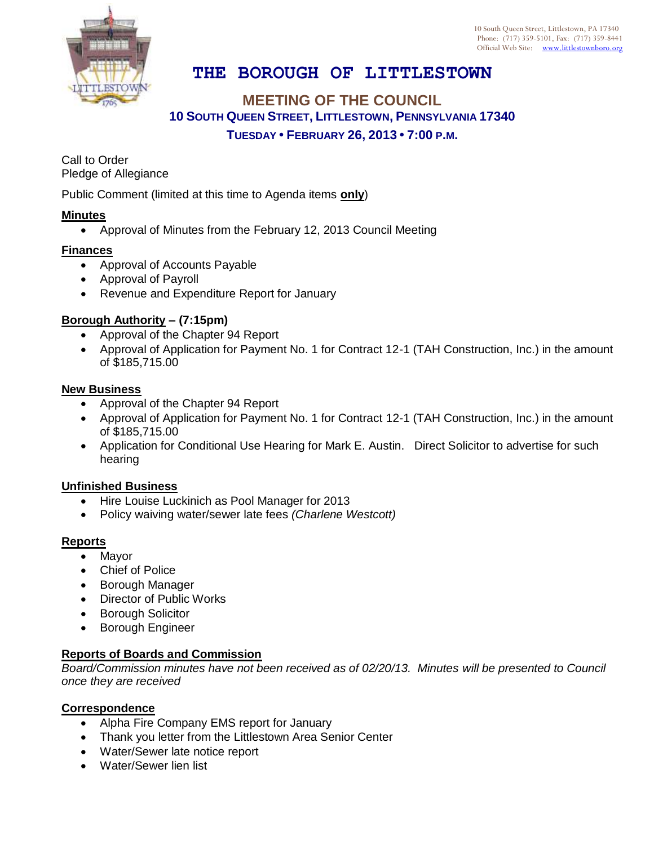10 South Queen Street, Littlestown, PA 17340 Phone: (717) 359-5101, Fax: (717) 359-8441 Official Web Site: [www.littlestownboro.org](http://www.littlestown.us/)



# **THE BOROUGH OF LITTLESTOWN**

## **MEETING OF THE COUNCIL 10 SOUTH QUEEN STREET, LITTLESTOWN, PENNSYLVANIA 17340 TUESDAY • FEBRUARY 26, 2013 • 7:00 P.M.**

Call to Order Pledge of Allegiance

Public Comment (limited at this time to Agenda items **only**)

#### **Minutes**

Approval of Minutes from the February 12, 2013 Council Meeting

#### **Finances**

- Approval of Accounts Payable
- Approval of Payroll
- Revenue and Expenditure Report for January

#### **Borough Authority – (7:15pm)**

- Approval of the Chapter 94 Report
- Approval of Application for Payment No. 1 for Contract 12-1 (TAH Construction, Inc.) in the amount of \$185,715.00

#### **New Business**

- Approval of the Chapter 94 Report
- Approval of Application for Payment No. 1 for Contract 12-1 (TAH Construction, Inc.) in the amount of \$185,715.00
- Application for Conditional Use Hearing for Mark E. Austin. Direct Solicitor to advertise for such hearing

#### **Unfinished Business**

- Hire Louise Luckinich as Pool Manager for 2013
- Policy waiving water/sewer late fees *(Charlene Westcott)*

#### **Reports**

- Mayor
- Chief of Police
- Borough Manager
- Director of Public Works
- **•** Borough Solicitor
- **•** Borough Engineer

### **Reports of Boards and Commission**

*Board/Commission minutes have not been received as of 02/20/13. Minutes will be presented to Council once they are received*

#### **Correspondence**

- Alpha Fire Company EMS report for January
- Thank you letter from the Littlestown Area Senior Center
- Water/Sewer late notice report
- Water/Sewer lien list